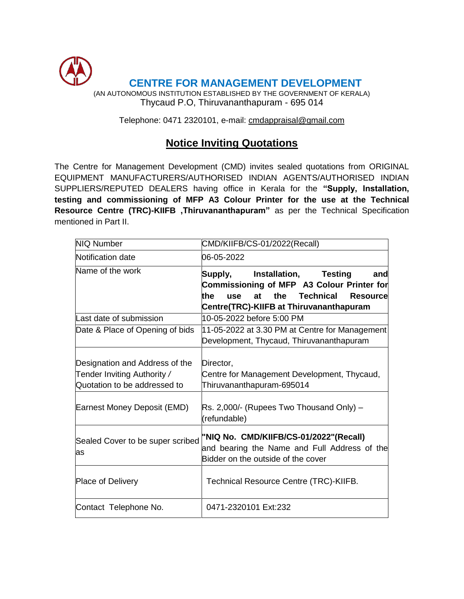

Telephone: 0471 2320101, e-mail: [cm](mailto:cmdtvm@dataone.in)dappraisal@gmail.com

# **Notice Inviting Quotations**

The Centre for Management Development (CMD) invites sealed quotations from ORIGINAL EQUIPMENT MANUFACTURERS/AUTHORISED INDIAN AGENTS/AUTHORISED INDIAN SUPPLIERS/REPUTED DEALERS having office in Kerala for the **"Supply, Installation, testing and commissioning of MFP A3 Colour Printer for the use at the Technical Resource Centre (TRC)-KIIFB ,Thiruvananthapuram"** as per the Technical Specification mentioned in Part II.

| <b>NIQ Number</b>                                                                             | CMD/KIIFB/CS-01/2022(Recall)                                                                                                                                                                        |  |  |  |  |  |
|-----------------------------------------------------------------------------------------------|-----------------------------------------------------------------------------------------------------------------------------------------------------------------------------------------------------|--|--|--|--|--|
| Notification date                                                                             | 06-05-2022                                                                                                                                                                                          |  |  |  |  |  |
| Name of the work                                                                              | Installation,<br><b>Testing</b><br>Supply,<br>andl<br>Commissioning of MFP A3 Colour Printer for<br>Technical<br>at the<br>the<br><b>Resource</b><br>use<br>Centre(TRC)-KIIFB at Thiruvananthapuram |  |  |  |  |  |
| Last date of submission                                                                       | 10-05-2022 before 5:00 PM                                                                                                                                                                           |  |  |  |  |  |
| Date & Place of Opening of bids                                                               | 11-05-2022 at 3.30 PM at Centre for Management<br>Development, Thycaud, Thiruvananthapuram                                                                                                          |  |  |  |  |  |
| Designation and Address of the<br>Tender Inviting Authority /<br>Quotation to be addressed to | Director,<br>Centre for Management Development, Thycaud,<br>Thiruvananthapuram-695014                                                                                                               |  |  |  |  |  |
| Earnest Money Deposit (EMD)                                                                   | Rs. 2,000/- (Rupees Two Thousand Only) –<br>(refundable)                                                                                                                                            |  |  |  |  |  |
| Sealed Cover to be super scribed<br>as                                                        | "NIQ No. CMD/KIIFB/CS-01/2022"(Recall)<br>and bearing the Name and Full Address of the<br>Bidder on the outside of the cover                                                                        |  |  |  |  |  |
| <b>Place of Delivery</b>                                                                      | Technical Resource Centre (TRC)-KIIFB.                                                                                                                                                              |  |  |  |  |  |
| Contact Telephone No.<br>0471-2320101 Ext:232                                                 |                                                                                                                                                                                                     |  |  |  |  |  |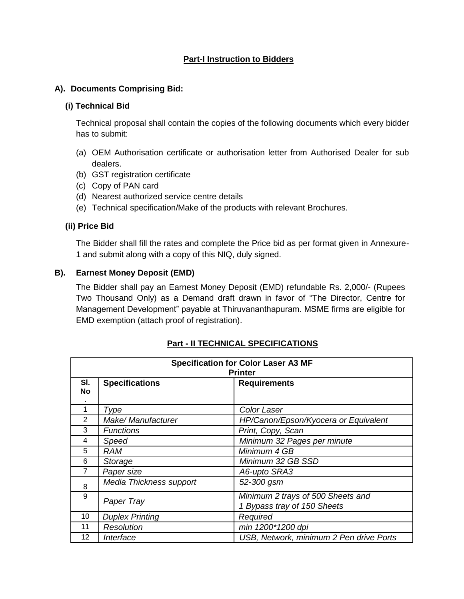## **Part-I Instruction to Bidders**

#### **A). Documents Comprising Bid:**

#### **(i) Technical Bid**

Technical proposal shall contain the copies of the following documents which every bidder has to submit:

- (a) OEM Authorisation certificate or authorisation letter from Authorised Dealer for sub dealers.
- (b) GST registration certificate
- (c) Copy of PAN card
- (d) Nearest authorized service centre details
- (e) Technical specification/Make of the products with relevant Brochures.

#### **(ii) Price Bid**

The Bidder shall fill the rates and complete the Price bid as per format given in Annexure-1 and submit along with a copy of this NIQ, duly signed.

#### **B). Earnest Money Deposit (EMD)**

The Bidder shall pay an Earnest Money Deposit (EMD) refundable Rs. 2,000/- (Rupees Two Thousand Only) as a Demand draft drawn in favor of "The Director, Centre for Management Development" payable at Thiruvananthapuram. MSME firms are eligible for EMD exemption (attach proof of registration).

| <b>Specification for Color Laser A3 MF</b><br><b>Printer</b> |                         |                                                                  |  |  |  |  |
|--------------------------------------------------------------|-------------------------|------------------------------------------------------------------|--|--|--|--|
| SI.<br>No<br>٠                                               | <b>Specifications</b>   | <b>Requirements</b>                                              |  |  |  |  |
|                                                              | Type                    | Color Laser                                                      |  |  |  |  |
| 2                                                            | Make/ Manufacturer      | HP/Canon/Epson/Kyocera or Equivalent                             |  |  |  |  |
| 3                                                            | <b>Functions</b>        | Print, Copy, Scan                                                |  |  |  |  |
| 4                                                            | Speed                   | Minimum 32 Pages per minute                                      |  |  |  |  |
| 5                                                            | <b>RAM</b>              | Minimum 4 GB                                                     |  |  |  |  |
| 6                                                            | Storage                 | Minimum 32 GB SSD                                                |  |  |  |  |
| 7                                                            | Paper size              | A6-upto SRA3                                                     |  |  |  |  |
| 8                                                            | Media Thickness support | 52-300 gsm                                                       |  |  |  |  |
| 9                                                            | Paper Tray              | Minimum 2 trays of 500 Sheets and<br>1 Bypass tray of 150 Sheets |  |  |  |  |
| 10                                                           | <b>Duplex Printing</b>  | Required                                                         |  |  |  |  |
| 11                                                           | Resolution              | min 1200*1200 dpi                                                |  |  |  |  |
| 12                                                           | Interface               | USB, Network, minimum 2 Pen drive Ports                          |  |  |  |  |

#### **Part - II TECHNICAL SPECIFICATIONS**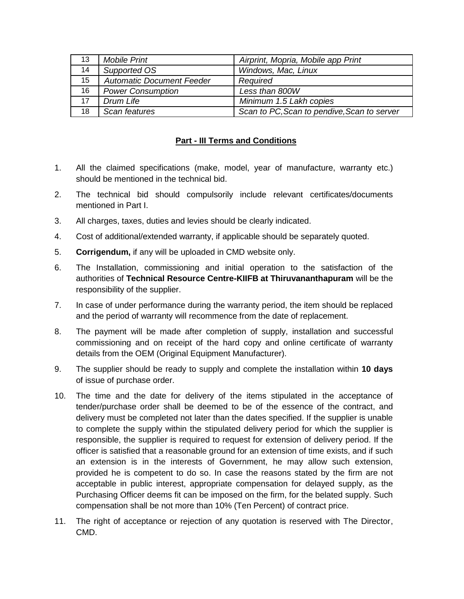| 13               | <b>Mobile Print</b>              | Airprint, Mopria, Mobile app Print          |
|------------------|----------------------------------|---------------------------------------------|
| 14               | Supported OS                     | Windows, Mac, Linux                         |
| 15 <sup>15</sup> | <b>Automatic Document Feeder</b> | Required                                    |
| 16               | <b>Power Consumption</b>         | Less than 800W                              |
| 17 <sup>2</sup>  | Drum Life                        | Minimum 1.5 Lakh copies                     |
| 18               | Scan features                    | Scan to PC, Scan to pendive, Scan to server |

## **Part - III Terms and Conditions**

- 1. All the claimed specifications (make, model, year of manufacture, warranty etc.) should be mentioned in the technical bid.
- 2. The technical bid should compulsorily include relevant certificates/documents mentioned in Part I.
- 3. All charges, taxes, duties and levies should be clearly indicated.
- 4. Cost of additional/extended warranty, if applicable should be separately quoted.
- 5. **Corrigendum,** if any will be uploaded in CMD website only.
- 6. The Installation, commissioning and initial operation to the satisfaction of the authorities of **Technical Resource Centre-KIIFB at Thiruvananthapuram** will be the responsibility of the supplier.
- 7. In case of under performance during the warranty period, the item should be replaced and the period of warranty will recommence from the date of replacement.
- 8. The payment will be made after completion of supply, installation and successful commissioning and on receipt of the hard copy and online certificate of warranty details from the OEM (Original Equipment Manufacturer).
- 9. The supplier should be ready to supply and complete the installation within **10 days** of issue of purchase order.
- 10. The time and the date for delivery of the items stipulated in the acceptance of tender/purchase order shall be deemed to be of the essence of the contract, and delivery must be completed not later than the dates specified. If the supplier is unable to complete the supply within the stipulated delivery period for which the supplier is responsible, the supplier is required to request for extension of delivery period. If the officer is satisfied that a reasonable ground for an extension of time exists, and if such an extension is in the interests of Government, he may allow such extension, provided he is competent to do so. In case the reasons stated by the firm are not acceptable in public interest, appropriate compensation for delayed supply, as the Purchasing Officer deems fit can be imposed on the firm, for the belated supply. Such compensation shall be not more than 10% (Ten Percent) of contract price.
- 11. The right of acceptance or rejection of any quotation is reserved with The Director, CMD.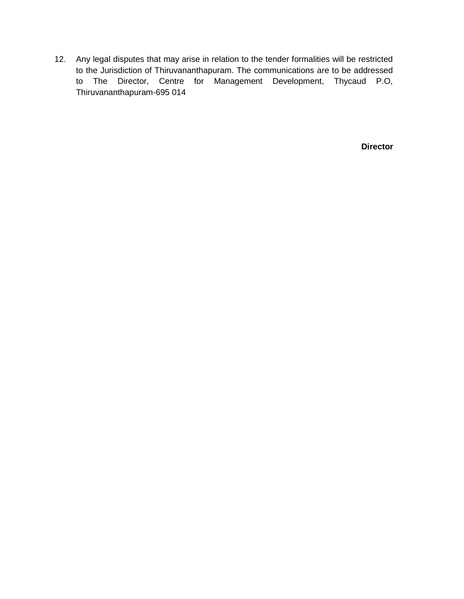12. Any legal disputes that may arise in relation to the tender formalities will be restricted to the Jurisdiction of Thiruvananthapuram. The communications are to be addressed to The Director, Centre for Management Development, Thycaud P.O, Thiruvananthapuram-695 014

 **Director**